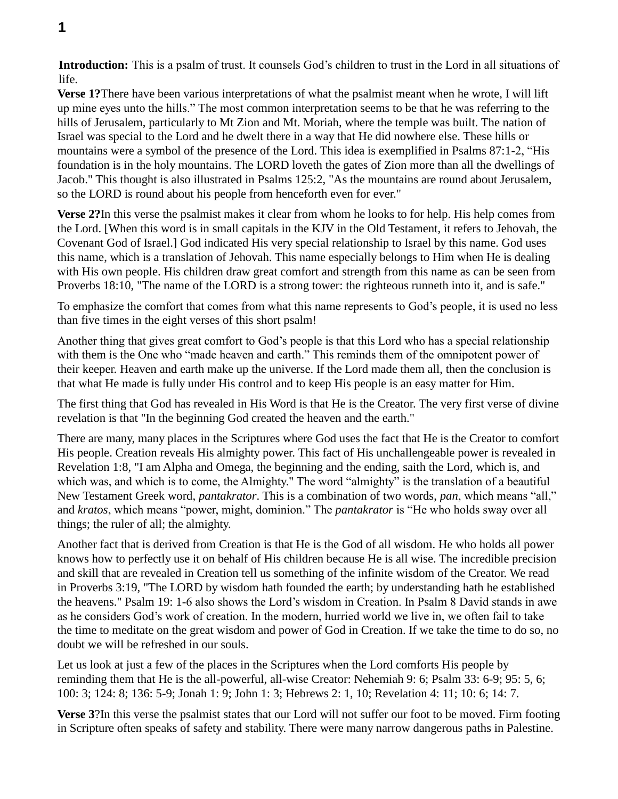**Verse 1?**There have been various interpretations of what the psalmist meant when he wrote, I will lift up mine eyes unto the hills." The most common interpretation seems to be that he was referring to the hills of Jerusalem, particularly to Mt Zion and Mt. Moriah, where the temple was built. The nation of Israel was special to the Lord and he dwelt there in a way that He did nowhere else. These hills or mountains were a symbol of the presence of the Lord. This idea is exemplified in Psalms 87:1-2, "His foundation is in the holy mountains. The LORD loveth the gates of Zion more than all the dwellings of Jacob." This thought is also illustrated in Psalms 125:2, "As the mountains are round about Jerusalem, so the LORD is round about his people from henceforth even for ever."

**Verse 2?**In this verse the psalmist makes it clear from whom he looks to for help. His help comes from the Lord. [When this word is in small capitals in the KJV in the Old Testament, it refers to Jehovah, the Covenant God of Israel.] God indicated His very special relationship to Israel by this name. God uses this name, which is a translation of Jehovah. This name especially belongs to Him when He is dealing with His own people. His children draw great comfort and strength from this name as can be seen from Proverbs 18:10, "The name of the LORD is a strong tower: the righteous runneth into it, and is safe."

To emphasize the comfort that comes from what this name represents to God's people, it is used no less than five times in the eight verses of this short psalm!

Another thing that gives great comfort to God's people is that this Lord who has a special relationship with them is the One who "made heaven and earth." This reminds them of the omnipotent power of their keeper. Heaven and earth make up the universe. If the Lord made them all, then the conclusion is that what He made is fully under His control and to keep His people is an easy matter for Him.

The first thing that God has revealed in His Word is that He is the Creator. The very first verse of divine revelation is that "In the beginning God created the heaven and the earth."

There are many, many places in the Scriptures where God uses the fact that He is the Creator to comfort His people. Creation reveals His almighty power. This fact of His unchallengeable power is revealed in Revelation 1:8, "I am Alpha and Omega, the beginning and the ending, saith the Lord, which is, and which was, and which is to come, the Almighty." The word "almighty" is the translation of a beautiful New Testament Greek word, *pantakrator*. This is a combination of two words, *pan*, which means "all," and *kratos*, which means "power, might, dominion." The *pantakrator* is "He who holds sway over all things; the ruler of all; the almighty.

Another fact that is derived from Creation is that He is the God of all wisdom. He who holds all power knows how to perfectly use it on behalf of His children because He is all wise. The incredible precision and skill that are revealed in Creation tell us something of the infinite wisdom of the Creator. We read in Proverbs 3:19, "The LORD by wisdom hath founded the earth; by understanding hath he established the heavens." Psalm 19: 1-6 also shows the Lord's wisdom in Creation. In Psalm 8 David stands in awe as he considers God's work of creation. In the modern, hurried world we live in, we often fail to take the time to meditate on the great wisdom and power of God in Creation. If we take the time to do so, no doubt we will be refreshed in our souls.

Let us look at just a few of the places in the Scriptures when the Lord comforts His people by reminding them that He is the all-powerful, all-wise Creator: Nehemiah 9: 6; Psalm 33: 6-9; 95: 5, 6; 100: 3; 124: 8; 136: 5-9; Jonah 1: 9; John 1: 3; Hebrews 2: 1, 10; Revelation 4: 11; 10: 6; 14: 7.

**Verse 3**?In this verse the psalmist states that our Lord will not suffer our foot to be moved. Firm footing in Scripture often speaks of safety and stability. There were many narrow dangerous paths in Palestine.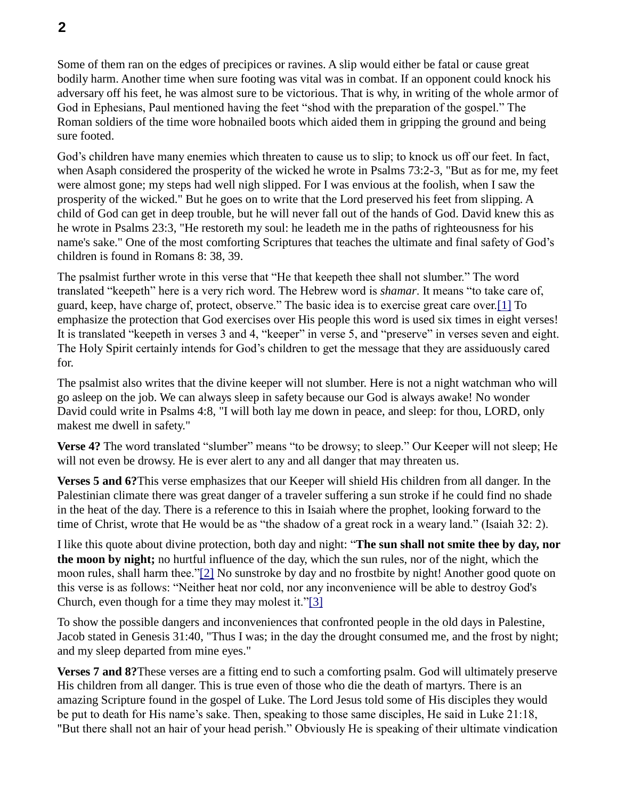Some of them ran on the edges of precipices or ravines. A slip would either be fatal or cause great bodily harm. Another time when sure footing was vital was in combat. If an opponent could knock his adversary off his feet, he was almost sure to be victorious. That is why, in writing of the whole armor of God in Ephesians, Paul mentioned having the feet "shod with the preparation of the gospel." The Roman soldiers of the time wore hobnailed boots which aided them in gripping the ground and being sure footed.

God's children have many enemies which threaten to cause us to slip; to knock us off our feet. In fact, when Asaph considered the prosperity of the wicked he wrote in Psalms 73:2-3, "But as for me, my feet were almost gone; my steps had well nigh slipped. For I was envious at the foolish, when I saw the prosperity of the wicked." But he goes on to write that the Lord preserved his feet from slipping. A child of God can get in deep trouble, but he will never fall out of the hands of God. David knew this as he wrote in Psalms 23:3, "He restoreth my soul: he leadeth me in the paths of righteousness for his name's sake." One of the most comforting Scriptures that teaches the ultimate and final safety of God's children is found in Romans 8: 38, 39.

The psalmist further wrote in this verse that "He that keepeth thee shall not slumber." The word translated "keepeth" here is a very rich word. The Hebrew word is *shamar*. It means "to take care of, guard, keep, have charge of, protect, observe." The basic idea is to exercise great care over.[1] To emphasize the protection that God exercises over His people this word is used six times in eight verses! It is translated "keepeth in verses 3 and 4, "keeper" in verse 5, and "preserve" in verses seven and eight. The Holy Spirit certainly intends for God's children to get the message that they are assiduously cared for.

The psalmist also writes that the divine keeper will not slumber. Here is not a night watchman who will go asleep on the job. We can always sleep in safety because our God is always awake! No wonder David could write in Psalms 4:8, "I will both lay me down in peace, and sleep: for thou, LORD, only makest me dwell in safety."

**Verse 4?** The word translated "slumber" means "to be drowsy; to sleep." Our Keeper will not sleep; He will not even be drowsy. He is ever alert to any and all danger that may threaten us.

**Verses 5 and 6?**This verse emphasizes that our Keeper will shield His children from all danger. In the Palestinian climate there was great danger of a traveler suffering a sun stroke if he could find no shade in the heat of the day. There is a reference to this in Isaiah where the prophet, looking forward to the time of Christ, wrote that He would be as "the shadow of a great rock in a weary land." (Isaiah 32: 2).

I like this quote about divine protection, both day and night: "**The sun shall not smite thee by day, nor the moon by night;** no hurtful influence of the day, which the sun rules, nor of the night, which the moon rules, shall harm thee."[2] No sunstroke by day and no frostbite by night! Another good quote on this verse is as follows: "Neither heat nor cold, nor any inconvenience will be able to destroy God's Church, even though for a time they may molest it."[3]

To show the possible dangers and inconveniences that confronted people in the old days in Palestine, Jacob stated in Genesis 31:40, "Thus I was; in the day the drought consumed me, and the frost by night; and my sleep departed from mine eyes."

**Verses 7 and 8?**These verses are a fitting end to such a comforting psalm. God will ultimately preserve His children from all danger. This is true even of those who die the death of martyrs. There is an amazing Scripture found in the gospel of Luke. The Lord Jesus told some of His disciples they would be put to death for His name's sake. Then, speaking to those same disciples, He said in Luke 21:18, "But there shall not an hair of your head perish." Obviously He is speaking of their ultimate vindication